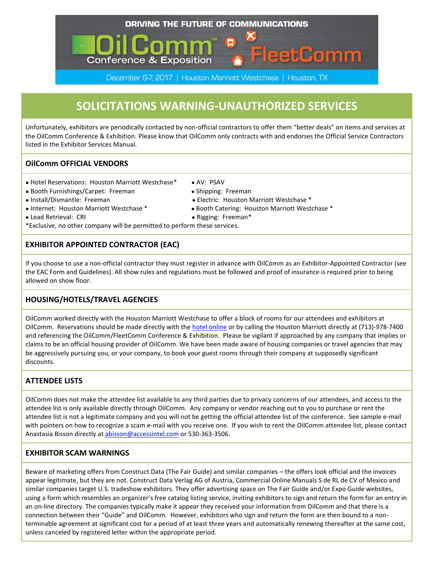#### DRIVING THE FUTURE OF COMMUNICATIONS

# **SOLICITATIONS WARNING-UNAUTHORIZED SERVICES**

December 6-7, 2017 | Houston Marriott Westchase | Houston, TX

Unfortunately, exhibitors are periodically contacted by non-official contractors to offer them "better deals" on items and services at the OilComm Conference & Exhibition. Please know that OilComm only contracts with and endorses the Official Service Contractors listed in the Exhibitor Services Manual.

### **OilComm OFFICIAL VENDORS**

- Hotel Reservations: Houston Marriott Westchase\* AV: PSAV
- Booth Furnishings/Carpet: Freeman Shipping: Freeman
- 
- 
- Lead Retrieval: CRI Rigging: Freeman\*
- \*Exclusive, no other company will be permitted to perform these services.

**Conference & Exposition** 

## **EXHIBITOR APPOINTED CONTRACTOR (EAC)**

If you choose to use a non-official contractor they must register in advance with OilComm as an Exhibitor-Appointed Contractor (see the EAC Form and Guidelines). All show rules and regulations must be followed and proof of insurance is required prior to being allowed on show floor.

### **HOUSING/HOTELS/TRAVEL AGENCIES**

OilComm worked directly with the Houston Marriott Westchase to offer a block of rooms for our attendees and exhibitors at OilComm. Reservations should be made directly with the [hotel online](http://2017.oilcomm.com/hotel-travel-info/) or by calling the Houston Marriott directly at (713)-978-7400 and referencing the OilComm/FleetComm Conference & Exhibition. Please be vigilant if approached by any company that implies or claims to be an official housing provider of OilComm. We have been made aware of housing companies or travel agencies that may be aggressively pursuing you, or your company, to book your guest rooms through their company at supposedly significant discounts.

### **ATTENDEE LISTS**

OilComm does not make the attendee list available to any third parties due to privacy concerns of our attendees, and access to the attendee list is only available directly through OilComm. Any company or vendor reaching out to you to purchase or rent the attendee list is not a legitimate company and you will not be getting the official attendee list of the conference. See sample e-mail with pointers on how to recognize a scam e-mail with you receive one. If you wish to rent the OilComm attendee list, please contact Anastasia Bisson directly a[t abisson@accessintel.com](mailto:abisson@accessintel.com) or 530-363-3506.

#### **EXHIBITOR SCAM WARNINGS**

Beware of marketing offers from Construct Data (The Fair Guide) and similar companies – the offers look official and the invoices appear legitimate, but they are not. Construct Data Verlag AG of Austria, Commercial Online Manuals S de RL de CV of Mexico and similar companies target U.S. tradeshow exhibitors. They offer advertising space on The Fair Guide and/or Expo Guide websites, using a form which resembles an organizer's free catalog listing service, inviting exhibitors to sign and return the form for an entry in an on-line directory. The companies typically make it appear they received your information from OilComm and that there is a connection between their "Guide" and OilComm. However, exhibitors who sign and return the form are then bound to a nonterminable agreement at significant cost for a period of at least three years and automatically renewing thereafter at the same cost, unless canceled by registered letter within the appropriate period.

- -
- Install/Dismantle: Freeman Electric: Houston Marriott Westchase \*
- Internet: Houston Marriott Westchase \* Booth Catering: Houston Marriott Westchase \*

etComm